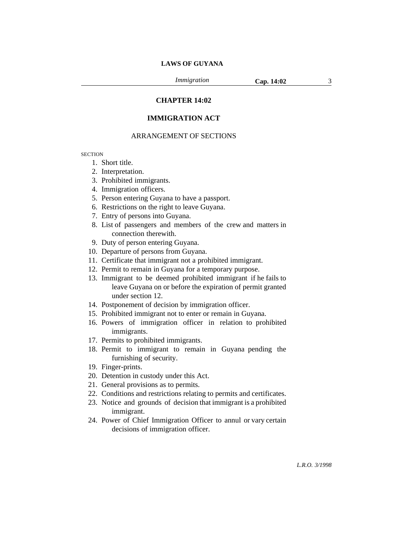*Immigration* **Cap. 14:02** 3

# **CHAPTER 14:02**

# **IMMIGRATION ACT**

## ARRANGEMENT OF SECTIONS

**SECTION** 

- 1. Short title.
- 2. Interpretation.
- 3. Prohibited immigrants.
- 4. Immigration officers.
- 5. Person entering Guyana to have a passport.
- 6. Restrictions on the right to leave Guyana.
- 7. Entry of persons into Guyana.
- 8. List of passengers and members of the crew and matters in connection therewith.
- 9. Duty of person entering Guyana.
- 10. Departure of persons from Guyana.
- 11. Certificate that immigrant not a prohibited immigrant.
- 12. Permit to remain in Guyana for a temporary purpose.
- 13. Immigrant to be deemed prohibited immigrant if he fails to leave Guyana on or before the expiration of permit granted under section 12.
- 14. Postponement of decision by immigration officer.
- 15. Prohibited immigrant not to enter or remain in Guyana.
- 16. Powers of immigration officer in relation to prohibited immigrants.
- 17. Permits to prohibited immigrants.
- 18. Permit to immigrant to remain in Guyana pending the furnishing of security.
- 19. Finger-prints.
- 20. Detention in custody under this Act.
- 21. General provisions as to permits.
- 22. Conditions and restrictions relating to permits and certificates.
- 23. Notice and grounds of decision that immigrant is a prohibited immigrant.
- 24. Power of Chief Immigration Officer to annul or vary certain decisions of immigration officer.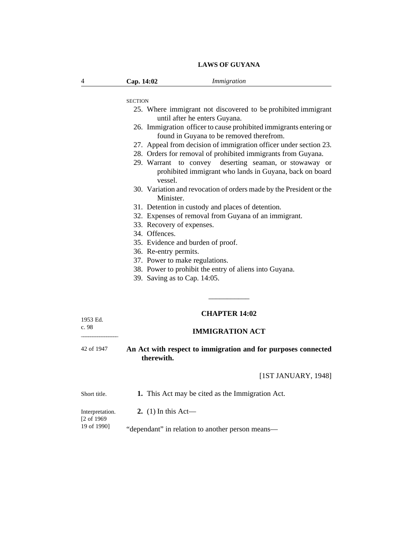| 4          | Cap. 14:02                     | Immigration                                                                                                       |
|------------|--------------------------------|-------------------------------------------------------------------------------------------------------------------|
|            | <b>SECTION</b>                 |                                                                                                                   |
|            |                                | 25. Where immigrant not discovered to be prohibited immigrant<br>until after he enters Guyana.                    |
|            |                                | 26. Immigration officer to cause prohibited immigrants entering or<br>found in Guyana to be removed therefrom.    |
|            |                                | 27. Appeal from decision of immigration officer under section 23.                                                 |
|            |                                | 28. Orders for removal of prohibited immigrants from Guyana.                                                      |
|            | vessel.                        | 29. Warrant to convey deserting seaman, or stowaway or<br>prohibited immigrant who lands in Guyana, back on board |
|            | Minister.                      | 30. Variation and revocation of orders made by the President or the                                               |
|            |                                | 31. Detention in custody and places of detention.                                                                 |
|            |                                | 32. Expenses of removal from Guyana of an immigrant.                                                              |
|            | 33. Recovery of expenses.      |                                                                                                                   |
|            | 34. Offences.                  |                                                                                                                   |
|            |                                | 35. Evidence and burden of proof.                                                                                 |
|            | 36. Re-entry permits.          |                                                                                                                   |
|            | 37. Power to make regulations. |                                                                                                                   |
|            | 39. Saving as to Cap. 14:05.   | 38. Power to prohibit the entry of aliens into Guyana.                                                            |
| 1953 Ed.   |                                | <b>CHAPTER 14:02</b>                                                                                              |
| c. 98      |                                | <b>IMMIGRATION ACT</b>                                                                                            |
| 42 of 1947 | therewith.                     | An Act with respect to immigration and for purposes connected                                                     |
|            |                                | [1ST JANUARY, 1948]                                                                                               |

**1.** This Act may be cited as the Immigration Act. Short title.

**2.** (1) In this Act— Interpretation.

[2 of 1969 19 of 1990]

"dependant" in relation to another person means—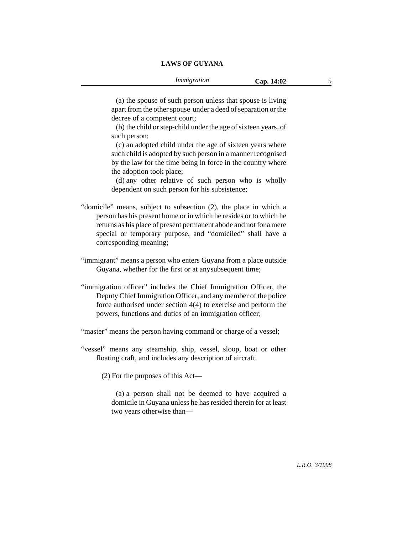(a) the spouse of such person unless that spouse is living apart from the other spouse under a deed of separation or the decree of a competent court;

(b) the child or step-child under the age of sixteen years, of such person;

(c) an adopted child under the age of sixteen years where such child is adopted by such person in a manner recognised by the law for the time being in force in the country where the adoption took place;

(d) any other relative of such person who is wholly dependent on such person for his subsistence;

- "domicile" means, subject to subsection (2), the place in which a person has his present home or in which he resides or to which he returns as his place of present permanent abode and not for a mere special or temporary purpose, and "domiciled" shall have a corresponding meaning;
- "immigrant" means a person who enters Guyana from a place outside Guyana, whether for the first or at anysubsequent time;
- "immigration officer" includes the Chief Immigration Officer, the Deputy Chief Immigration Officer, and any member of the police force authorised under section 4(4) to exercise and perform the powers, functions and duties of an immigration officer;

"master" means the person having command or charge of a vessel;

"vessel" means any steamship, ship, vessel, sloop, boat or other floating craft, and includes any description of aircraft.

(2) For the purposes of this Act—

(a) a person shall not be deemed to have acquired a domicile in Guyana unless he has resided therein for at least two years otherwise than—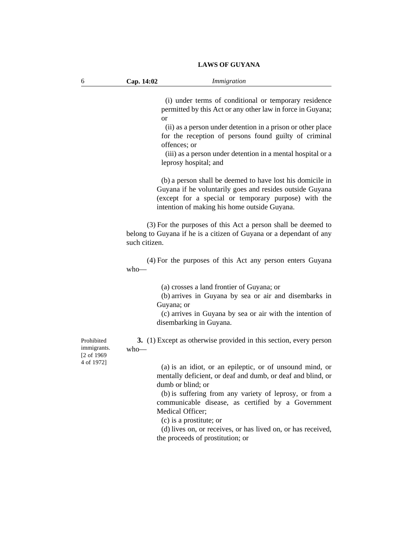(i) under terms of conditional or temporary residence permitted by this Act or any other law in force in Guyana; or

(ii) as a person under detention in a prison or other place for the reception of persons found guilty of criminal offences; or

(iii) as a person under detention in a mental hospital or a leprosy hospital; and

(b) a person shall be deemed to have lost his domicile in Guyana if he voluntarily goes and resides outside Guyana (except for a special or temporary purpose) with the intention of making his home outside Guyana.

(3) For the purposes of this Act a person shall be deemed to belong to Guyana if he is a citizen of Guyana or a dependant of any such citizen.

(4) For the purposes of this Act any person enters Guyana who—

(a) crosses a land frontier of Guyana; or

(b) arrives in Guyana by sea or air and disembarks in Guyana; or

(c) arrives in Guyana by sea or air with the intention of disembarking in Guyana.

**3.** (1) Except as otherwise provided in this section, every person who—

Prohibited immigrants. [2 of 1969 4 of 1972]

(a) is an idiot, or an epileptic, or of unsound mind, or mentally deficient, or deaf and dumb, or deaf and blind, or dumb or blind; or

(b) is suffering from any variety of leprosy, or from a communicable disease, as certified by a Government Medical Officer;

(c) is a prostitute; or

(d) lives on, or receives, or has lived on, or has received, the proceeds of prostitution; or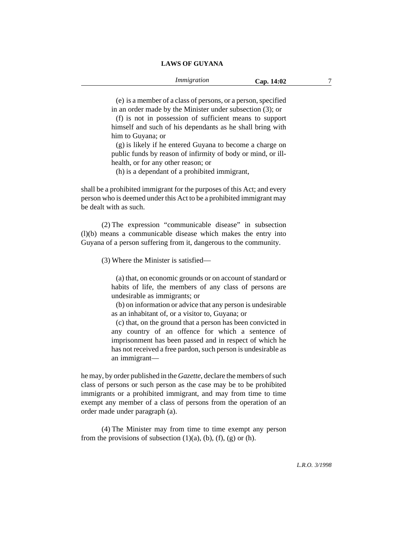(e) is a member of a class of persons, or a person, specified in an order made by the Minister under subsection (3); or

(f) is not in possession of sufficient means to support himself and such of his dependants as he shall bring with him to Guyana; or

(g) is likely if he entered Guyana to become a charge on public funds by reason of infirmity of body or mind, or illhealth, or for any other reason; or

(h) is a dependant of a prohibited immigrant,

shall be a prohibited immigrant for the purposes of this Act; and every person who is deemed under this Act to be a prohibited immigrant may be dealt with as such.

(2) The expression "communicable disease" in subsection (l)(b) means a communicable disease which makes the entry into Guyana of a person suffering from it, dangerous to the community.

(3) Where the Minister is satisfied—

(a) that, on economic grounds or on account of standard or habits of life, the members of any class of persons are undesirable as immigrants; or

(b) on information or advice that any person is undesirable as an inhabitant of, or a visitor to, Guyana; or

(c) that, on the ground that a person has been convicted in any country of an offence for which a sentence of imprisonment has been passed and in respect of which he has not received a free pardon, such person is undesirable as an immigrant—

he may, by order published in the *Gazette*, declare the members of such class of persons or such person as the case may be to be prohibited immigrants or a prohibited immigrant, and may from time to time exempt any member of a class of persons from the operation of an order made under paragraph (a).

(4) The Minister may from time to time exempt any person from the provisions of subsection  $(1)(a)$ ,  $(b)$ ,  $(f)$ ,  $(g)$  or  $(h)$ .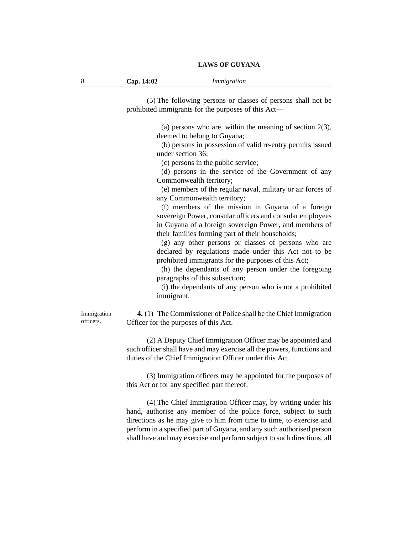(5) The following persons or classes of persons shall not be prohibited immigrants for the purposes of this Act—

> (a) persons who are, within the meaning of section 2(3), deemed to belong to Guyana;

> (b) persons in possession of valid re-entry permits issued under section 36;

(c) persons in the public service;

(d) persons in the service of the Government of any Commonwealth territory;

(e) members of the regular naval, military or air forces of any Commonwealth territory;

(f) members of the mission in Guyana of a foreign sovereign Power, consular officers and consular employees in Guyana of a foreign sovereign Power, and members of their families forming part of their households;

(g) any other persons or classes of persons who are declared by regulations made under this Act not to be prohibited immigrants for the purposes of this Act;

(h) the dependants of any person under the foregoing paragraphs of this subsection;

(i) the dependants of any person who is not a prohibited immigrant.

Immigration officers.

**4.** (1) The Commissioner of Police shall be the Chief Immigration Officer for the purposes of this Act.

(2) A Deputy Chief Immigration Officer may be appointed and such officer shall have and may exercise all the powers, functions and duties of the Chief Immigration Officer under this Act.

(3) Immigration officers may be appointed for the purposes of this Act or for any specified part thereof.

(4) The Chief Immigration Officer may, by writing under his hand, authorise any member of the police force, subject to such directions as he may give to him from time to time, to exercise and perform in a specified part of Guyana, and any such authorised person shall have and may exercise and perform subject to such directions, all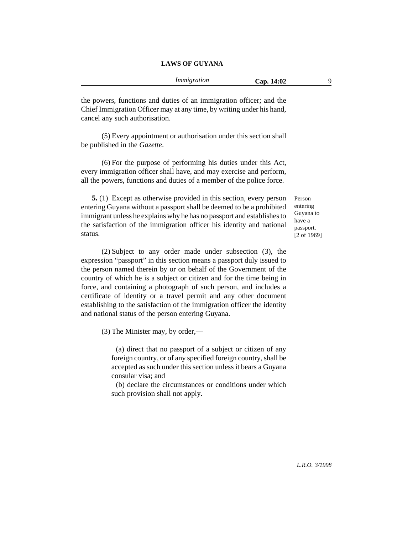the powers, functions and duties of an immigration officer; and the Chief Immigration Officer may at any time, by writing under his hand, cancel any such authorisation.

(5) Every appointment or authorisation under this section shall be published in the *Gazette*.

(6) For the purpose of performing his duties under this Act, every immigration officer shall have, and may exercise and perform, all the powers, functions and duties of a member of the police force.

**5.** (1) Except as otherwise provided in this section, every person entering Guyana without a passport shall be deemed to be a prohibited immigrant unless he explains why he has no passport and establishes to the satisfaction of the immigration officer his identity and national status.

(2) Subject to any order made under subsection (3), the expression "passport" in this section means a passport duly issued to the person named therein by or on behalf of the Government of the country of which he is a subject or citizen and for the time being in force, and containing a photograph of such person, and includes a certificate of identity or a travel permit and any other document establishing to the satisfaction of the immigration officer the identity and national status of the person entering Guyana.

(3) The Minister may, by order,—

(a) direct that no passport of a subject or citizen of any foreign country, or of any specified foreign country, shall be accepted as such under this section unless it bears a Guyana consular visa; and

(b) declare the circumstances or conditions under which such provision shall not apply.

Person entering Guyana to have a passport. [2 of 1969]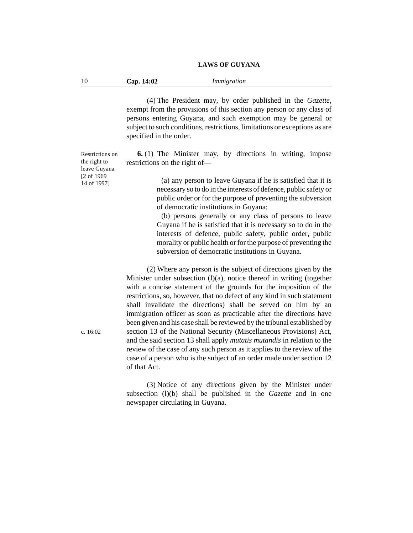10 **Cap. 14:02** *Immigration*

(4) The President may, by order published in the *Gazette*, exempt from the provisions of this section any person or any class of persons entering Guyana, and such exemption may be general or subject to such conditions, restrictions, limitations or exceptions as are specified in the order.

**6.** (1) The Minister may, by directions in writing, impose restrictions on the right of—

> (a) any person to leave Guyana if he is satisfied that it is necessary so to do in the interests of defence, public safety or public order or for the purpose of preventing the subversion of democratic institutions in Guyana;

> (b) persons generally or any class of persons to leave Guyana if he is satisfied that it is necessary so to do in the interests of defence, public safety, public order, public morality or public health or for the purpose of preventing the subversion of democratic institutions in Guyana.

(2) Where any person is the subject of directions given by the Minister under subsection (l)(a), notice thereof in writing (together with a concise statement of the grounds for the imposition of the restrictions, so, however, that no defect of any kind in such statement shall invalidate the directions) shall be served on him by an immigration officer as soon as practicable after the directions have been given and his case shall be reviewed by the tribunal established by section 13 of the National Security (Miscellaneous Provisions) Act, and the said section 13 shall apply *mutatis mutandis* in relation to the review of the case of any such person as it applies to the review of the case of a person who is the subject of an order made under section 12 of that Act.

(3) Notice of any directions given by the Minister under subsection (l)(b) shall be published in the *Gazette* and in one newspaper circulating in Guyana.

Restrictions on the right to leave Guyana. [2 of 1969 14 of 1997]

c. 16:02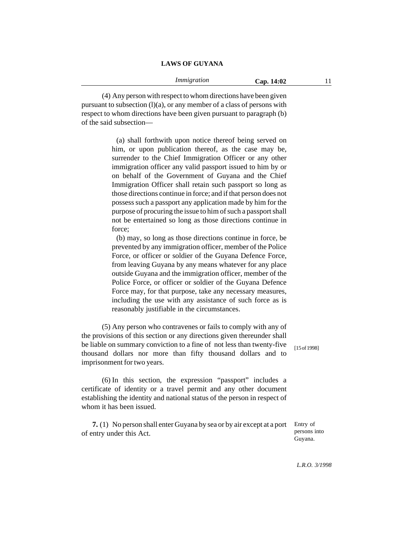(4) Any person with respect to whom directions have been given

pursuant to subsection  $(l)(a)$ , or any member of a class of persons with respect to whom directions have been given pursuant to paragraph (b) of the said subsection—

> (a) shall forthwith upon notice thereof being served on him, or upon publication thereof, as the case may be, surrender to the Chief Immigration Officer or any other immigration officer any valid passport issued to him by or on behalf of the Government of Guyana and the Chief Immigration Officer shall retain such passport so long as those directions continue in force; and if that person does not possess such a passport any application made by him for the purpose of procuring the issue to him of such a passport shall not be entertained so long as those directions continue in force;

> (b) may, so long as those directions continue in force, be prevented by any immigration officer, member of the Police Force, or officer or soldier of the Guyana Defence Force, from leaving Guyana by any means whatever for any place outside Guyana and the immigration officer, member of the Police Force, or officer or soldier of the Guyana Defence Force may, for that purpose, take any necessary measures, including the use with any assistance of such force as is reasonably justifiable in the circumstances.

(5) Any person who contravenes or fails to comply with any of the provisions of this section or any directions given thereunder shall be liable on summary conviction to a fine of not less than twenty-five thousand dollars nor more than fifty thousand dollars and to imprisonment for two years.

(6) In this section, the expression "passport" includes a certificate of identity or a travel permit and any other document establishing the identity and national status of the person in respect of whom it has been issued.

**7.** (1) No person shall enter Guyana by sea or by air except at a port of entry under this Act.

[15 of 1998]

*L.R.O. 3/1998*

Entry of persons into Guyana.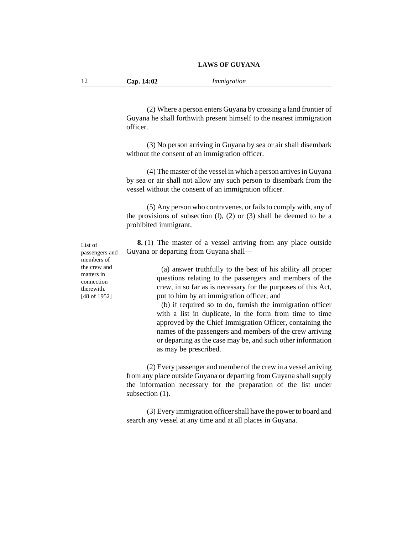| 12 | Cap. 14:02 | Immigration |
|----|------------|-------------|
|----|------------|-------------|

(2) Where a person enters Guyana by crossing a land frontier of Guyana he shall forthwith present himself to the nearest immigration officer.

(3) No person arriving in Guyana by sea or air shall disembark without the consent of an immigration officer.

(4) The master of the vessel in which a person arrives in Guyana by sea or air shall not allow any such person to disembark from the vessel without the consent of an immigration officer.

(5) Any person who contravenes, or fails to comply with, any of the provisions of subsection  $(l)$ ,  $(2)$  or  $(3)$  shall be deemed to be a prohibited immigrant.

**8.** (1) The master of a vessel arriving from any place outside Guyana or departing from Guyana shall—

> (a) answer truthfully to the best of his ability all proper questions relating to the passengers and members of the crew, in so far as is necessary for the purposes of this Act, put to him by an immigration officer; and

> (b) if required so to do, furnish the immigration officer with a list in duplicate, in the form from time to time approved by the Chief Immigration Officer, containing the names of the passengers and members of the crew arriving or departing as the case may be, and such other information as may be prescribed.

(2) Every passenger and member of the crew in a vessel arriving from any place outside Guyana or departing from Guyana shall supply the information necessary for the preparation of the list under subsection  $(1)$ .

(3) Every immigration officer shall have the power to board and search any vessel at any time and at all places in Guyana.

List of passengers and members of the crew and matters in connection therewith. [48 of 1952]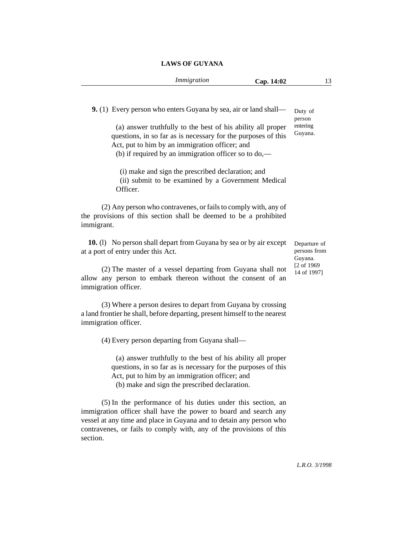| Immigration | Cap. 14:02 |  |
|-------------|------------|--|
|             |            |  |

**9.** (1) Every person who enters Guyana by sea, air or land shall—

person entering Guyana.

Duty of

(a) answer truthfully to the best of his ability all proper questions, in so far as is necessary for the purposes of this Act, put to him by an immigration officer; and

(b) if required by an immigration officer so to do,—

(i) make and sign the prescribed declaration; and (ii) submit to be examined by a Government Medical Officer.

(2) Any person who contravenes, or fails to comply with, any of the provisions of this section shall be deemed to be a prohibited immigrant.

**10.** (l) No person shall depart from Guyana by sea or by air except at a port of entry under this Act.

(2) The master of a vessel departing from Guyana shall not allow any person to embark thereon without the consent of an immigration officer.

(3) Where a person desires to depart from Guyana by crossing a land frontier he shall, before departing, present himself to the nearest immigration officer.

(4) Every person departing from Guyana shall—

(a) answer truthfully to the best of his ability all proper questions, in so far as is necessary for the purposes of this Act, put to him by an immigration officer; and

(b) make and sign the prescribed declaration.

(5) In the performance of his duties under this section, an immigration officer shall have the power to board and search any vessel at any time and place in Guyana and to detain any person who contravenes, or fails to comply with, any of the provisions of this section.

Departure of persons from Guyana. [2 of 1969 14 of 1997]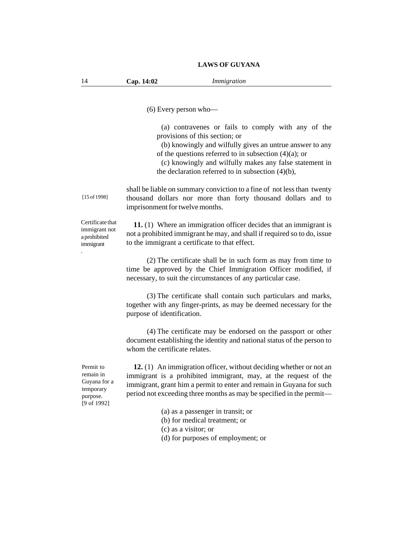|                                                                                  | $(6)$ Every person who-                                                                                                                                                                                                                                                                                                         |
|----------------------------------------------------------------------------------|---------------------------------------------------------------------------------------------------------------------------------------------------------------------------------------------------------------------------------------------------------------------------------------------------------------------------------|
|                                                                                  | (a) contravenes or fails to comply with any of the<br>provisions of this section; or<br>(b) knowingly and wilfully gives an untrue answer to any<br>of the questions referred to in subsection $(4)(a)$ ; or<br>(c) knowingly and wilfully makes any false statement in<br>the declaration referred to in subsection $(4)(b)$ , |
| [15 of 1998]                                                                     | shall be liable on summary conviction to a fine of not less than twenty<br>thousand dollars nor more than forty thousand dollars and to<br>imprisonment for twelve months.                                                                                                                                                      |
| Certificate that<br>immigrant not<br>a prohibited<br>immigrant                   | 11. (1) Where an immigration officer decides that an immigrant is<br>not a prohibited immigrant he may, and shall if required so to do, issue<br>to the immigrant a certificate to that effect.                                                                                                                                 |
|                                                                                  | (2) The certificate shall be in such form as may from time to<br>time be approved by the Chief Immigration Officer modified, if<br>necessary, to suit the circumstances of any particular case.                                                                                                                                 |
|                                                                                  | (3) The certificate shall contain such particulars and marks,<br>together with any finger-prints, as may be deemed necessary for the<br>purpose of identification.                                                                                                                                                              |
|                                                                                  | (4) The certificate may be endorsed on the passport or other<br>document establishing the identity and national status of the person to<br>whom the certificate relates.                                                                                                                                                        |
| Permit to<br>remain in<br>Guyana for a<br>temporary<br>purpose.<br>$[9$ of 1992] | 12. (1) An immigration officer, without deciding whether or not an<br>immigrant is a prohibited immigrant, may, at the request of the<br>immigrant, grant him a permit to enter and remain in Guyana for such<br>period not exceeding three months as may be specified in the permit-                                           |
|                                                                                  | (a) as a passenger in transit; or<br>(b) for medical treatment; or<br>(c) as a visitor; or<br>(d) for purposes of employment; or                                                                                                                                                                                                |

14 **Cap. 14:02** *Immigration*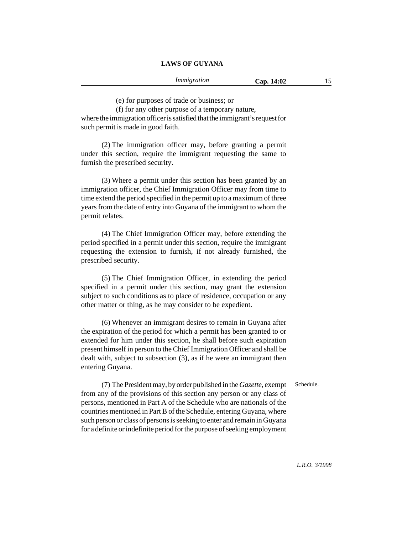(e) for purposes of trade or business; or

(f) for any other purpose of a temporary nature,

where the immigration officer is satisfied that the immigrant's request for such permit is made in good faith.

(2) The immigration officer may, before granting a permit under this section, require the immigrant requesting the same to furnish the prescribed security.

(3) Where a permit under this section has been granted by an immigration officer, the Chief Immigration Officer may from time to time extend the period specified in the permit up to a maximum of three years from the date of entry into Guyana of the immigrant to whom the permit relates.

(4) The Chief Immigration Officer may, before extending the period specified in a permit under this section, require the immigrant requesting the extension to furnish, if not already furnished, the prescribed security.

(5) The Chief Immigration Officer, in extending the period specified in a permit under this section, may grant the extension subject to such conditions as to place of residence, occupation or any other matter or thing, as he may consider to be expedient.

(6) Whenever an immigrant desires to remain in Guyana after the expiration of the period for which a permit has been granted to or extended for him under this section, he shall before such expiration present himself in person to the Chief Immigration Officer and shall be dealt with, subject to subsection (3), as if he were an immigrant then entering Guyana.

Schedule.

(7) The President may, by order published in the *Gazette*, exempt from any of the provisions of this section any person or any class of persons, mentioned in Part A of the Schedule who are nationals of the countries mentioned in Part B of the Schedule, entering Guyana, where such person or class of persons is seeking to enter and remain in Guyana for a definite or indefinite period for the purpose of seeking employment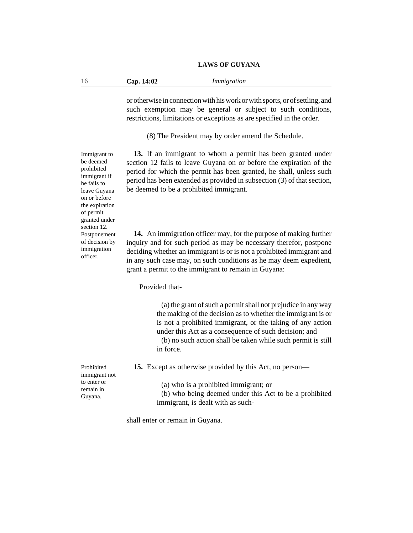| -16 | Cap. 14:02 | Immigration |
|-----|------------|-------------|
|     |            |             |

or otherwise in connection with his work or with sports, or of settling, and such exemption may be general or subject to such conditions, restrictions, limitations or exceptions as are specified in the order.

(8) The President may by order amend the Schedule.

**13.** If an immigrant to whom a permit has been granted under section 12 fails to leave Guyana on or before the expiration of the period for which the permit has been granted, he shall, unless such period has been extended as provided in subsection (3) of that section, be deemed to be a prohibited immigrant.

**14.** An immigration officer may, for the purpose of making further inquiry and for such period as may be necessary therefor, postpone deciding whether an immigrant is or is not a prohibited immigrant and in any such case may, on such conditions as he may deem expedient, grant a permit to the immigrant to remain in Guyana:

Provided that-

(a) the grant of such a permit shall not prejudice in any way the making of the decision as to whether the immigrant is or is not a prohibited immigrant, or the taking of any action under this Act as a consequence of such decision; and

(b) no such action shall be taken while such permit is still in force.

**15.** Except as otherwise provided by this Act, no person—

(a) who is a prohibited immigrant; or

(b) who being deemed under this Act to be a prohibited immigrant, is dealt with as such-

shall enter or remain in Guyana.

Immigrant to be deemed prohibited immigrant if he fails to leave Guyana on or before the expiration of permit granted under section 12. Postponement of decision by immigration officer.

Prohibited immigrant not to enter or remain in Guyana.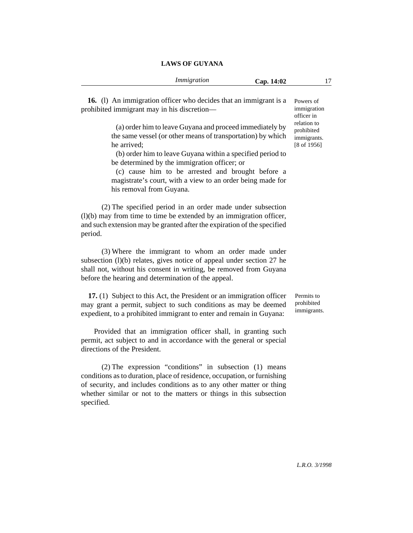| <b>LAWS OF GUYANA</b> |
|-----------------------|
|-----------------------|

**16.** (l) An immigration officer who decides that an immigrant is a prohibited immigrant may in his discretion—

> (a) order him to leave Guyana and proceed immediately by the same vessel (or other means of transportation) by which he arrived;

> (b) order him to leave Guyana within a specified period to be determined by the immigration officer; or

> (c) cause him to be arrested and brought before a magistrate's court, with a view to an order being made for his removal from Guyana.

(2) The specified period in an order made under subsection (l)(b) may from time to time be extended by an immigration officer, and such extension may be granted after the expiration of the specified period.

(3) Where the immigrant to whom an order made under subsection  $(l)(b)$  relates, gives notice of appeal under section 27 he shall not, without his consent in writing, be removed from Guyana before the hearing and determination of the appeal.

**17.** (1) Subject to this Act, the President or an immigration officer may grant a permit, subject to such conditions as may be deemed expedient, to a prohibited immigrant to enter and remain in Guyana:

Provided that an immigration officer shall, in granting such permit, act subject to and in accordance with the general or special directions of the President.

(2) The expression "conditions" in subsection (1) means conditions as to duration, place of residence, occupation, or furnishing of security, and includes conditions as to any other matter or thing whether similar or not to the matters or things in this subsection specified.

Powers of immigration officer in relation to prohibited immigrants. [8 of 1956]

Permits to prohibited immigrants.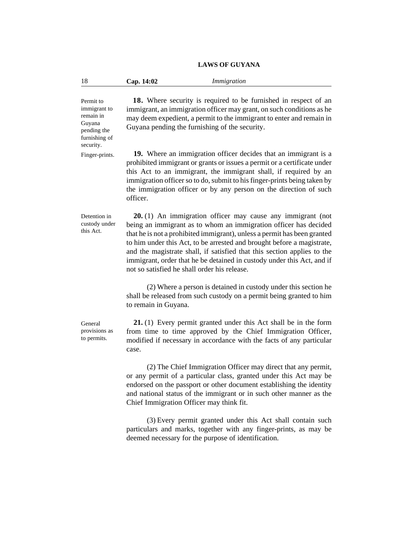| 18                                                                                            | Cap. 14:02                                                                                                                                                                                                                                                                                                                                                                   | Immigration                                                                                                                                                                                                                                                                                                                                                                                                                                                                                |  |
|-----------------------------------------------------------------------------------------------|------------------------------------------------------------------------------------------------------------------------------------------------------------------------------------------------------------------------------------------------------------------------------------------------------------------------------------------------------------------------------|--------------------------------------------------------------------------------------------------------------------------------------------------------------------------------------------------------------------------------------------------------------------------------------------------------------------------------------------------------------------------------------------------------------------------------------------------------------------------------------------|--|
| Permit to<br>immigrant to<br>remain in<br>Guyana<br>pending the<br>furnishing of<br>security. | 18. Where security is required to be furnished in respect of an<br>immigrant, an immigration officer may grant, on such conditions as he<br>may deem expedient, a permit to the immigrant to enter and remain in<br>Guyana pending the furnishing of the security.                                                                                                           |                                                                                                                                                                                                                                                                                                                                                                                                                                                                                            |  |
| Finger-prints.                                                                                | 19. Where an immigration officer decides that an immigrant is a<br>prohibited immigrant or grants or issues a permit or a certificate under<br>this Act to an immigrant, the immigrant shall, if required by an<br>immigration officer so to do, submit to his finger-prints being taken by<br>the immigration officer or by any person on the direction of such<br>officer. |                                                                                                                                                                                                                                                                                                                                                                                                                                                                                            |  |
| Detention in<br>custody under<br>this Act.                                                    |                                                                                                                                                                                                                                                                                                                                                                              | 20. (1) An immigration officer may cause any immigrant (not<br>being an immigrant as to whom an immigration officer has decided<br>that he is not a prohibited immigrant), unless a permit has been granted<br>to him under this Act, to be arrested and brought before a magistrate,<br>and the magistrate shall, if satisfied that this section applies to the<br>immigrant, order that he be detained in custody under this Act, and if<br>not so satisfied he shall order his release. |  |
|                                                                                               | to remain in Guyana.                                                                                                                                                                                                                                                                                                                                                         | (2) Where a person is detained in custody under this section he<br>shall be released from such custody on a permit being granted to him                                                                                                                                                                                                                                                                                                                                                    |  |
| General<br>provisions as<br>to permits.                                                       | case.                                                                                                                                                                                                                                                                                                                                                                        | $21. (1)$ Every permit granted under this Act shall be in the form<br>from time to time approved by the Chief Immigration Officer,<br>modified if necessary in accordance with the facts of any particular                                                                                                                                                                                                                                                                                 |  |

(2) The Chief Immigration Officer may direct that any permit, or any permit of a particular class, granted under this Act may be endorsed on the passport or other document establishing the identity and national status of the immigrant or in such other manner as the Chief Immigration Officer may think fit.

(3) Every permit granted under this Act shall contain such particulars and marks, together with any finger-prints, as may be deemed necessary for the purpose of identification.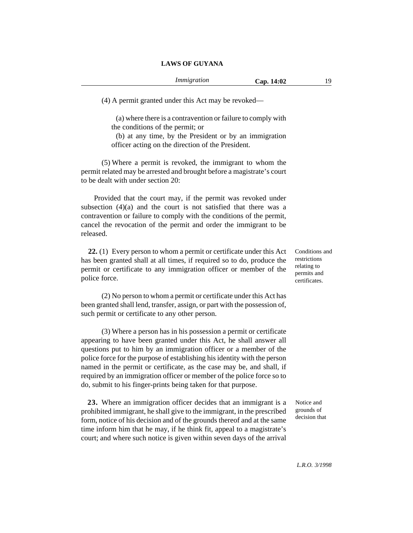(4) A permit granted under this Act may be revoked—

(a) where there is a contravention or failure to comply with the conditions of the permit; or

(b) at any time, by the President or by an immigration officer acting on the direction of the President.

(5) Where a permit is revoked, the immigrant to whom the permit related may be arrested and brought before a magistrate's court to be dealt with under section 20:

Provided that the court may, if the permit was revoked under subsection  $(4)(a)$  and the court is not satisfied that there was a contravention or failure to comply with the conditions of the permit, cancel the revocation of the permit and order the immigrant to be released.

**22.** (1) Every person to whom a permit or certificate under this Act has been granted shall at all times, if required so to do, produce the permit or certificate to any immigration officer or member of the police force.

(2) No person to whom a permit or certificate under this Act has been granted shall lend, transfer, assign, or part with the possession of, such permit or certificate to any other person.

(3) Where a person has in his possession a permit or certificate appearing to have been granted under this Act, he shall answer all questions put to him by an immigration officer or a member of the police force for the purpose of establishing his identity with the person named in the permit or certificate, as the case may be, and shall, if required by an immigration officer or member of the police force so to do, submit to his finger-prints being taken for that purpose.

**23.** Where an immigration officer decides that an immigrant is a prohibited immigrant, he shall give to the immigrant, in the prescribed form, notice of his decision and of the grounds thereof and at the same time inform him that he may, if he think fit, appeal to a magistrate's court; and where such notice is given within seven days of the arrival

Conditions and restrictions relating to permits and certificates.

Notice and grounds of decision that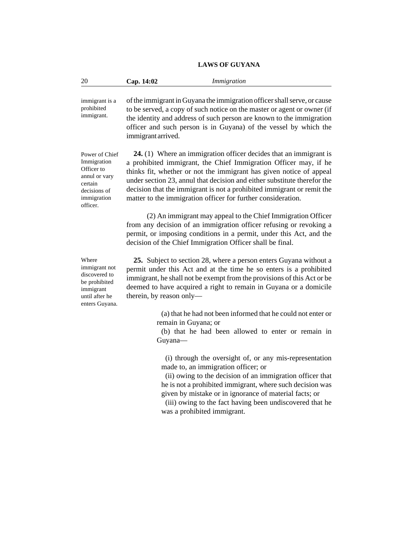| 20                                                                                                                 | Cap. 14:02                      | Immigration                                                                                                                                                                                                                                                                                                                                                                                                                        |
|--------------------------------------------------------------------------------------------------------------------|---------------------------------|------------------------------------------------------------------------------------------------------------------------------------------------------------------------------------------------------------------------------------------------------------------------------------------------------------------------------------------------------------------------------------------------------------------------------------|
| immigrant is a<br>prohibited<br>immigrant.                                                                         | immigrant arrived.              | of the immigrant in Guyana the immigration officer shall serve, or cause<br>to be served, a copy of such notice on the master or agent or owner (if<br>the identity and address of such person are known to the immigration<br>officer and such person is in Guyana) of the vessel by which the                                                                                                                                    |
| Power of Chief<br>Immigration<br>Officer to<br>annul or vary<br>certain<br>decisions of<br>immigration<br>officer. |                                 | 24. (1) Where an immigration officer decides that an immigrant is<br>a prohibited immigrant, the Chief Immigration Officer may, if he<br>thinks fit, whether or not the immigrant has given notice of appeal<br>under section 23, annul that decision and either substitute therefor the<br>decision that the immigrant is not a prohibited immigrant or remit the<br>matter to the immigration officer for further consideration. |
|                                                                                                                    |                                 | (2) An immigrant may appeal to the Chief Immigration Officer<br>from any decision of an immigration officer refusing or revoking a<br>permit, or imposing conditions in a permit, under this Act, and the<br>decision of the Chief Immigration Officer shall be final.                                                                                                                                                             |
| Where<br>immigrant not<br>discovered to<br>be prohibited<br>immigrant<br>until after he<br>enters Guyana.          | therein, by reason only-        | 25. Subject to section 28, where a person enters Guyana without a<br>permit under this Act and at the time he so enters is a prohibited<br>immigrant, he shall not be exempt from the provisions of this Act or be<br>deemed to have acquired a right to remain in Guyana or a domicile                                                                                                                                            |
|                                                                                                                    | remain in Guyana; or<br>Guyana- | (a) that he had not been informed that he could not enter or<br>(b) that he had been allowed to enter or remain in                                                                                                                                                                                                                                                                                                                 |
|                                                                                                                    |                                 | (i) through the oversight of, or any mis-representation<br>made to, an immigration officer; or                                                                                                                                                                                                                                                                                                                                     |

(ii) owing to the decision of an immigration officer that he is not a prohibited immigrant, where such decision was given by mistake or in ignorance of material facts; or

(iii) owing to the fact having been undiscovered that he was a prohibited immigrant.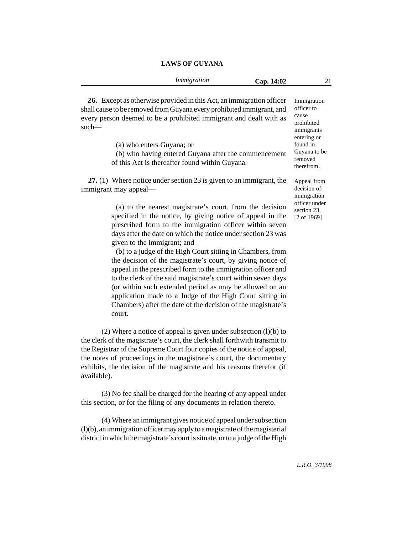|                                                                       | Immigration                                                | Cap. 14:02 | 21                         |
|-----------------------------------------------------------------------|------------------------------------------------------------|------------|----------------------------|
|                                                                       |                                                            |            |                            |
| 26. Except as otherwise provided in this Act, an immigration officer  |                                                            |            | Immigration                |
| shall cause to be removed from Guyana every prohibited immigrant, and |                                                            |            | officer to                 |
| every person deemed to be a prohibited immigrant and dealt with as    |                                                            |            | cause                      |
| such—                                                                 |                                                            |            | prohibited                 |
|                                                                       |                                                            |            | immigrants<br>entering or  |
| (a) who enters Guyana; or                                             |                                                            |            | found in                   |
|                                                                       | (b) who having entered Guyana after the commencement       |            | Guyana to be               |
| of this Act is thereafter found within Guyana.                        |                                                            |            | removed                    |
|                                                                       |                                                            |            | therefrom.                 |
|                                                                       |                                                            |            |                            |
| 27. $(1)$ Where notice under section 23 is given to an immigrant, the |                                                            |            | Appeal from<br>decision of |
| immigrant may appeal—                                                 |                                                            |            | immigration                |
|                                                                       |                                                            |            | officer under              |
|                                                                       | (a) to the nearest magistrate's court, from the decision   |            | section 23.                |
| specified in the notice, by giving notice of appeal in the            |                                                            |            | [2 of 1969]                |
| prescribed form to the immigration officer within seven               |                                                            |            |                            |
| days after the date on which the notice under section 23 was          |                                                            |            |                            |
| given to the immigrant; and                                           |                                                            |            |                            |
|                                                                       | (b) to a judge of the High Court sitting in Chambers, from |            |                            |
| the decision of the magistrate's court, by giving notice of           |                                                            |            |                            |
| appeal in the prescribed form to the immigration officer and          |                                                            |            |                            |
| to the clerk of the said magistrate's court within seven days         |                                                            |            |                            |
| (or within such extended period as may be allowed on an               |                                                            |            |                            |
|                                                                       |                                                            |            |                            |

application made to a Judge of the High Court sitting in Chambers) after the date of the decision of the magistrate's

(2) Where a notice of appeal is given under subsection (l)(b) to

# **LAWS OF GUYANA**

(3) No fee shall be charged for the hearing of any appeal under this section, or for the filing of any documents in relation thereto.

the clerk of the magistrate's court, the clerk shall forthwith transmit to the Registrar of the Supreme Court four copies of the notice of appeal, the notes of proceedings in the magistrate's court, the documentary exhibits, the decision of the magistrate and his reasons therefor (if

court.

available).

(4) Where an immigrant gives notice of appeal under subsection (l)(b), an immigration officer may apply to a magistrate of the magisterial district in which the magistrate's court is situate, or to a judge of the High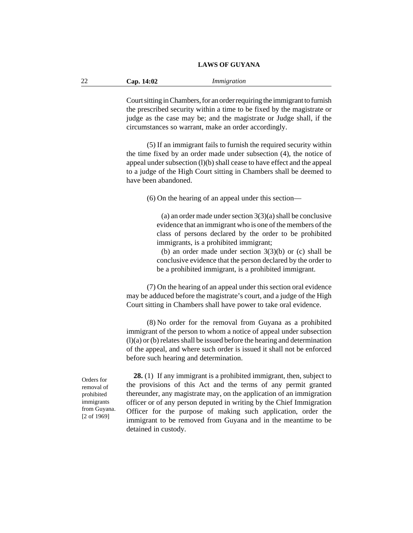| 22 | Cap. 14:02 | Immigration |
|----|------------|-------------|
|----|------------|-------------|

Court sitting in Chambers, for an order requiring the immigrant to furnish the prescribed security within a time to be fixed by the magistrate or judge as the case may be; and the magistrate or Judge shall, if the circumstances so warrant, make an order accordingly.

(5) If an immigrant fails to furnish the required security within the time fixed by an order made under subsection (4), the notice of appeal under subsection (l)(b) shall cease to have effect and the appeal to a judge of the High Court sitting in Chambers shall be deemed to have been abandoned.

(6) On the hearing of an appeal under this section—

(a) an order made under section 3(3)(a) shall be conclusive evidence that an immigrant who is one of the members of the class of persons declared by the order to be prohibited immigrants, is a prohibited immigrant;

(b) an order made under section  $3(3)(b)$  or (c) shall be conclusive evidence that the person declared by the order to be a prohibited immigrant, is a prohibited immigrant.

(7) On the hearing of an appeal under this section oral evidence may be adduced before the magistrate's court, and a judge of the High Court sitting in Chambers shall have power to take oral evidence.

(8) No order for the removal from Guyana as a prohibited immigrant of the person to whom a notice of appeal under subsection (l)(a) or (b) relates shall be issued before the hearing and determination of the appeal, and where such order is issued it shall not be enforced before such hearing and determination.

Orders for removal of prohibited immigrants from Guyana. [2 of 1969]

**28.** (1) If any immigrant is a prohibited immigrant, then, subject to the provisions of this Act and the terms of any permit granted thereunder, any magistrate may, on the application of an immigration officer or of any person deputed in writing by the Chief Immigration Officer for the purpose of making such application, order the immigrant to be removed from Guyana and in the meantime to be detained in custody.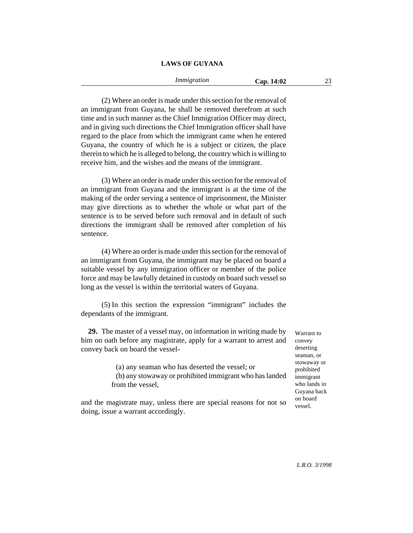(2) Where an order is made under this section for the removal of an immigrant from Guyana, he shall be removed therefrom at such time and in such manner as the Chief Immigration Officer may direct, and in giving such directions the Chief Immigration officer shall have regard to the place from which the immigrant came when he entered Guyana, the country of which he is a subject or citizen, the place therein to which he is alleged to belong, the country which is willing to receive him, and the wishes and the means of the immigrant.

(3) Where an order is made under this section for the removal of an immigrant from Guyana and the immigrant is at the time of the making of the order serving a sentence of imprisonment, the Minister may give directions as to whether the whole or what part of the sentence is to be served before such removal and in default of such directions the immigrant shall be removed after completion of his sentence.

(4) Where an order is made under this section for the removal of an immigrant from Guyana, the immigrant may be placed on board a suitable vessel by any immigration officer or member of the police force and may be lawfully detained in custody on board such vessel so long as the vessel is within the territorial waters of Guyana.

(5) In this section the expression "immigrant" includes the dependants of the immigrant.

**29.** The master of a vessel may, on information in writing made by him on oath before any magistrate, apply for a warrant to arrest and convey back on board the vessel-

> (a) any seaman who has deserted the vessel; or (b) any stowaway or prohibited immigrant who has landed from the vessel,

and the magistrate may, unless there are special reasons for not so doing, issue a warrant accordingly.

Warrant to convey deserting seaman, or stowaway or prohibited immigrant who lands in Guyana back on board vessel.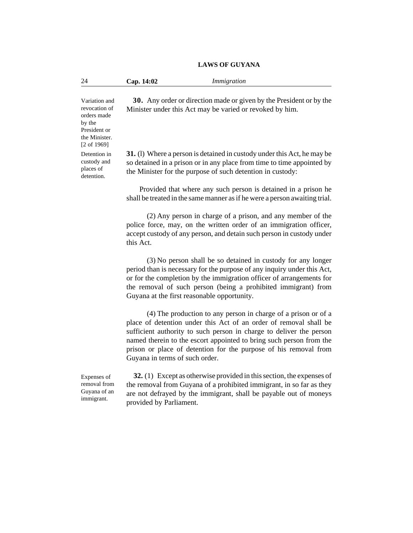24 **Cap. 14:02** *Immigration*

Variation and revocation of orders made by the President or the Minister. [2 of 1969] Detention in custody and

places of detention.

**30.** Any order or direction made or given by the President or by the Minister under this Act may be varied or revoked by him.

**31.** (l) Where a person is detained in custody under this Act, he may be so detained in a prison or in any place from time to time appointed by the Minister for the purpose of such detention in custody:

Provided that where any such person is detained in a prison he shall be treated in the same manner as if he were a person awaiting trial.

(2) Any person in charge of a prison, and any member of the police force, may, on the written order of an immigration officer, accept custody of any person, and detain such person in custody under this Act.

(3) No person shall be so detained in custody for any longer period than is necessary for the purpose of any inquiry under this Act, or for the completion by the immigration officer of arrangements for the removal of such person (being a prohibited immigrant) from Guyana at the first reasonable opportunity.

(4) The production to any person in charge of a prison or of a place of detention under this Act of an order of removal shall be sufficient authority to such person in charge to deliver the person named therein to the escort appointed to bring such person from the prison or place of detention for the purpose of his removal from Guyana in terms of such order.

Expenses of removal from Guyana of an immigrant.

**32.** (1) Except as otherwise provided in this section, the expenses of the removal from Guyana of a prohibited immigrant, in so far as they are not defrayed by the immigrant, shall be payable out of moneys provided by Parliament.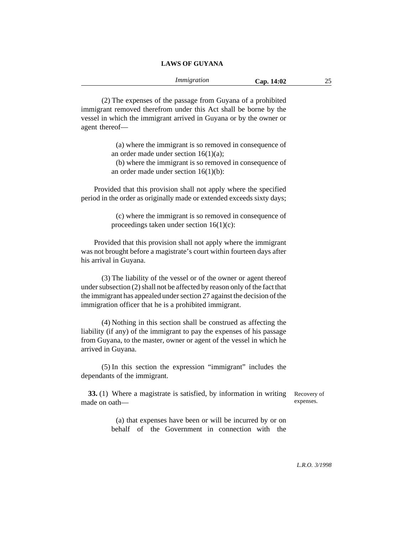(2) The expenses of the passage from Guyana of a prohibited immigrant removed therefrom under this Act shall be borne by the vessel in which the immigrant arrived in Guyana or by the owner or agent thereof—

> (a) where the immigrant is so removed in consequence of an order made under section 16(1)(a);

> (b) where the immigrant is so removed in consequence of an order made under section 16(1)(b):

Provided that this provision shall not apply where the specified period in the order as originally made or extended exceeds sixty days;

> (c) where the immigrant is so removed in consequence of proceedings taken under section 16(1)(c):

Provided that this provision shall not apply where the immigrant was not brought before a magistrate's court within fourteen days after his arrival in Guyana.

(3) The liability of the vessel or of the owner or agent thereof under subsection (2) shall not be affected by reason only of the fact that the immigrant has appealed under section 27 against the decision of the immigration officer that he is a prohibited immigrant.

(4) Nothing in this section shall be construed as affecting the liability (if any) of the immigrant to pay the expenses of his passage from Guyana, to the master, owner or agent of the vessel in which he arrived in Guyana.

(5) In this section the expression "immigrant" includes the dependants of the immigrant.

**33.** (1) Where a magistrate is satisfied, by information in writing made on oath—

Recovery of expenses.

(a) that expenses have been or will be incurred by or on behalf of the Government in connection with the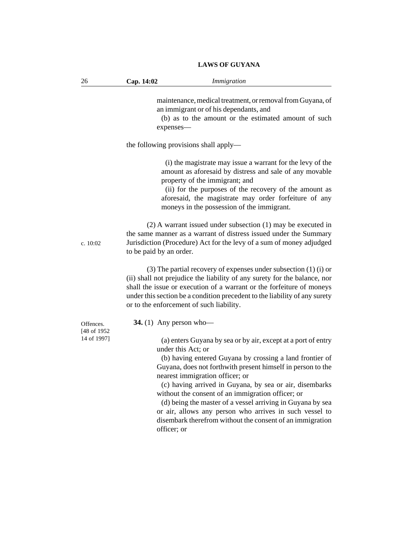| 26                       | Cap. 14:02                               | Immigration                                                                                                                                                                                                                                                                                                                                                                                                                                                                                                                       |
|--------------------------|------------------------------------------|-----------------------------------------------------------------------------------------------------------------------------------------------------------------------------------------------------------------------------------------------------------------------------------------------------------------------------------------------------------------------------------------------------------------------------------------------------------------------------------------------------------------------------------|
|                          | expenses-                                | maintenance, medical treatment, or removal from Guyana, of<br>an immigrant or of his dependants, and<br>(b) as to the amount or the estimated amount of such                                                                                                                                                                                                                                                                                                                                                                      |
|                          | the following provisions shall apply—    |                                                                                                                                                                                                                                                                                                                                                                                                                                                                                                                                   |
|                          |                                          | (i) the magistrate may issue a warrant for the levy of the<br>amount as aforesaid by distress and sale of any movable<br>property of the immigrant; and<br>(ii) for the purposes of the recovery of the amount as<br>aforesaid, the magistrate may order forfeiture of any<br>moneys in the possession of the immigrant.                                                                                                                                                                                                          |
| c. $10:02$               | to be paid by an order.                  | $(2)$ A warrant issued under subsection $(1)$ may be executed in<br>the same manner as a warrant of distress issued under the Summary<br>Jurisdiction (Procedure) Act for the levy of a sum of money adjudged                                                                                                                                                                                                                                                                                                                     |
|                          | or to the enforcement of such liability. | $(3)$ The partial recovery of expenses under subsection $(1)$ $(i)$ or<br>(ii) shall not prejudice the liability of any surety for the balance, nor<br>shall the issue or execution of a warrant or the forfeiture of moneys<br>under this section be a condition precedent to the liability of any surety                                                                                                                                                                                                                        |
| Offences.<br>[48 of 1952 | 34. $(1)$ Any person who-                |                                                                                                                                                                                                                                                                                                                                                                                                                                                                                                                                   |
| 14 of 1997]              | under this Act; or<br>officer; or        | (a) enters Guyana by sea or by air, except at a port of entry<br>(b) having entered Guyana by crossing a land frontier of<br>Guyana, does not forthwith present himself in person to the<br>nearest immigration officer; or<br>(c) having arrived in Guyana, by sea or air, disembarks<br>without the consent of an immigration officer; or<br>(d) being the master of a vessel arriving in Guyana by sea<br>or air, allows any person who arrives in such vessel to<br>disembark therefrom without the consent of an immigration |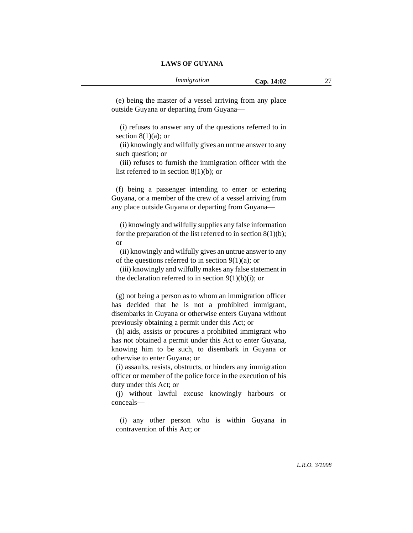(e) being the master of a vessel arriving from any place outside Guyana or departing from Guyana—

(i) refuses to answer any of the questions referred to in section  $8(1)(a)$ ; or

(ii) knowingly and wilfully gives an untrue answer to any such question; or

(iii) refuses to furnish the immigration officer with the list referred to in section 8(1)(b); or

(f) being a passenger intending to enter or entering Guyana, or a member of the crew of a vessel arriving from any place outside Guyana or departing from Guyana—

(i) knowingly and wilfully supplies any false information for the preparation of the list referred to in section  $8(1)(b)$ ; or

(ii) knowingly and wilfully gives an untrue answer to any of the questions referred to in section  $9(1)(a)$ ; or

(iii) knowingly and wilfully makes any false statement in the declaration referred to in section  $9(1)(b)(i)$ ; or

(g) not being a person as to whom an immigration officer has decided that he is not a prohibited immigrant, disembarks in Guyana or otherwise enters Guyana without previously obtaining a permit under this Act; or

(h) aids, assists or procures a prohibited immigrant who has not obtained a permit under this Act to enter Guyana, knowing him to be such, to disembark in Guyana or otherwise to enter Guyana; or

(i) assaults, resists, obstructs, or hinders any immigration officer or member of the police force in the execution of his duty under this Act; or

(j) without lawful excuse knowingly harbours or conceals—

(i) any other person who is within Guyana in contravention of this Act; or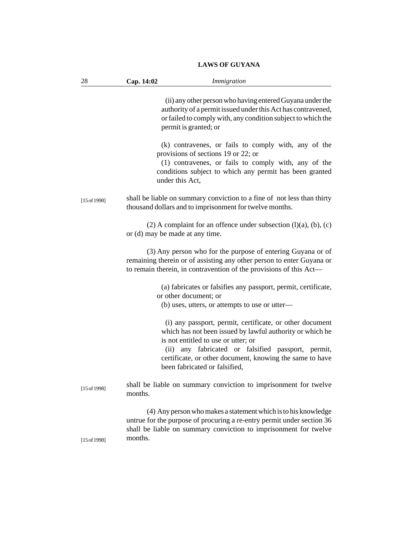|  | <b>LAWS OF GUYANA</b> |
|--|-----------------------|
|  |                       |

| 28           | Cap. 14:02<br>Immigration                                                                                                                                                                                                                                                                                          |
|--------------|--------------------------------------------------------------------------------------------------------------------------------------------------------------------------------------------------------------------------------------------------------------------------------------------------------------------|
|              | (ii) any other person who having entered Guyana under the<br>authority of a permit issued under this Act has contravened,<br>or failed to comply with, any condition subject to which the<br>permit is granted; or                                                                                                 |
|              | (k) contravenes, or fails to comply with, any of the<br>provisions of sections 19 or 22; or<br>(1) contravenes, or fails to comply with, any of the<br>conditions subject to which any permit has been granted<br>under this Act,                                                                                  |
| [15 of 1998] | shall be liable on summary conviction to a fine of not less than thirty<br>thousand dollars and to imprisonment for twelve months.                                                                                                                                                                                 |
|              | (2) A complaint for an offence under subsection $(l)(a)$ , $(b)$ , $(c)$<br>or (d) may be made at any time.                                                                                                                                                                                                        |
|              | (3) Any person who for the purpose of entering Guyana or of<br>remaining therein or of assisting any other person to enter Guyana or<br>to remain therein, in contravention of the provisions of this Act-                                                                                                         |
|              | (a) fabricates or falsifies any passport, permit, certificate,<br>or other document; or<br>(b) uses, utters, or attempts to use or utter-                                                                                                                                                                          |
|              | (i) any passport, permit, certificate, or other document<br>which has not been issued by lawful authority or which he<br>is not entitled to use or utter; or<br>any fabricated or falsified passport, permit,<br>(ii)<br>certificate, or other document, knowing the same to have<br>been fabricated or falsified, |
| [15 of 1998] | shall be liable on summary conviction to imprisonment for twelve<br>months.                                                                                                                                                                                                                                        |
| [15 of 1998] | (4) Any person who makes a statement which is to his knowledge<br>untrue for the purpose of procuring a re-entry permit under section 36<br>shall be liable on summary conviction to imprisonment for twelve<br>months.                                                                                            |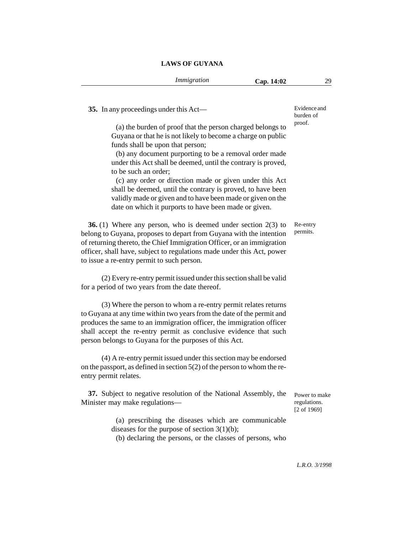Evidence and

**35.** In any proceedings under this Act— (a) the burden of proof that the person charged belongs to Guyana or that he is not likely to become a charge on public funds shall be upon that person; (b) any document purporting to be a removal order made under this Act shall be deemed, until the contrary is proved, to be such an order; (c) any order or direction made or given under this Act shall be deemed, until the contrary is proved, to have been validly made or given and to have been made or given on the date on which it purports to have been made or given. **36.** (1) Where any person, who is deemed under section 2(3) to belong to Guyana, proposes to depart from Guyana with the intention of returning thereto, the Chief Immigration Officer, or an immigration officer, shall have, subject to regulations made under this Act, power to issue a re-entry permit to such person. (2) Every re-entry permit issued under this section shall be valid for a period of two years from the date thereof. (3) Where the person to whom a re-entry permit relates returns to Guyana at any time within two years from the date of the permit and produces the same to an immigration officer, the immigration officer shall accept the re-entry permit as conclusive evidence that such person belongs to Guyana for the purposes of this Act. (4) A re-entry permit issued under this section may be endorsed on the passport, as defined in section 5(2) of the person to whom the reentry permit relates. **37.** Subject to negative resolution of the National Assembly, the Minister may make regulations— (a) prescribing the diseases which are communicable diseases for the purpose of section 3(1)(b); (b) declaring the persons, or the classes of persons, who burden of proof. Re-entry permits. Power to make regulations. [2 of 1969]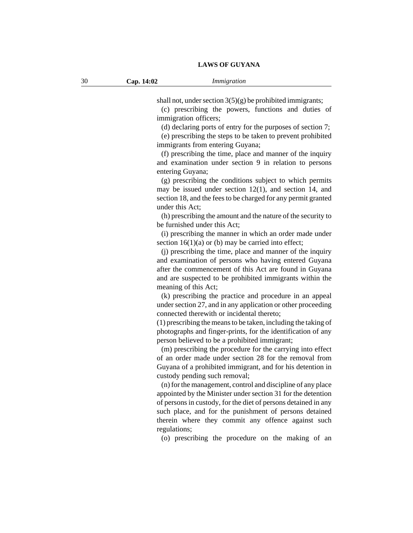shall not, under section  $3(5)(g)$  be prohibited immigrants;

(c) prescribing the powers, functions and duties of immigration officers;

(d) declaring ports of entry for the purposes of section 7;

(e) prescribing the steps to be taken to prevent prohibited immigrants from entering Guyana;

(f) prescribing the time, place and manner of the inquiry and examination under section 9 in relation to persons entering Guyana;

(g) prescribing the conditions subject to which permits may be issued under section 12(1), and section 14, and section 18, and the fees to be charged for any permit granted under this Act;

(h) prescribing the amount and the nature of the security to be furnished under this Act;

(i) prescribing the manner in which an order made under section  $16(1)(a)$  or (b) may be carried into effect;

(j) prescribing the time, place and manner of the inquiry and examination of persons who having entered Guyana after the commencement of this Act are found in Guyana and are suspected to be prohibited immigrants within the meaning of this Act;

(k) prescribing the practice and procedure in an appeal under section 27, and in any application or other proceeding connected therewith or incidental thereto;

(1) prescribing the means to be taken, including the taking of photographs and finger-prints, for the identification of any person believed to be a prohibited immigrant;

(m) prescribing the procedure for the carrying into effect of an order made under section 28 for the removal from Guyana of a prohibited immigrant, and for his detention in custody pending such removal;

(n) for the management, control and discipline of any place appointed by the Minister under section 31 for the detention of persons in custody, for the diet of persons detained in any such place, and for the punishment of persons detained therein where they commit any offence against such regulations;

(o) prescribing the procedure on the making of an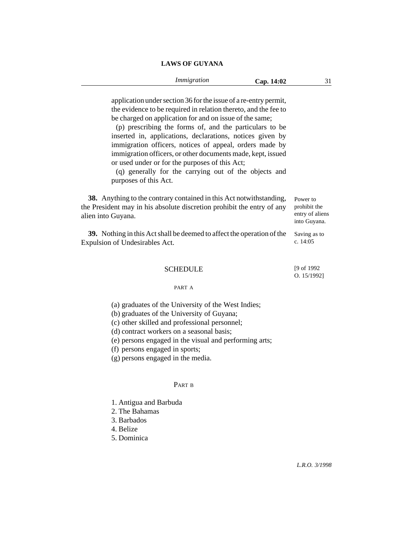application under section 36 for the issue of a re-entry permit, the evidence to be required in relation thereto, and the fee to be charged on application for and on issue of the same;

(p) prescribing the forms of, and the particulars to be inserted in, applications, declarations, notices given by immigration officers, notices of appeal, orders made by immigration officers, or other documents made, kept, issued or used under or for the purposes of this Act;

(q) generally for the carrying out of the objects and purposes of this Act.

**38.** Anything to the contrary contained in this Act notwithstanding, the President may in his absolute discretion prohibit the entry of any alien into Guyana. Power to prohibit the entry of aliens into Guyana.

**39.** Nothing in this Act shall be deemed to affect the operation of the Expulsion of Undesirables Act. Saving as to c. 14:05

### **SCHEDULE**

[9 of 1992 O. 15/1992]

#### PART A

(a) graduates of the University of the West Indies;

(b) graduates of the University of Guyana;

(c) other skilled and professional personnel;

(d) contract workers on a seasonal basis;

(e) persons engaged in the visual and performing arts;

(f) persons engaged in sports;

(g) persons engaged in the media.

## PART B

1. Antigua and Barbuda

2. The Bahamas

3. Barbados

4. Belize

5. Dominica